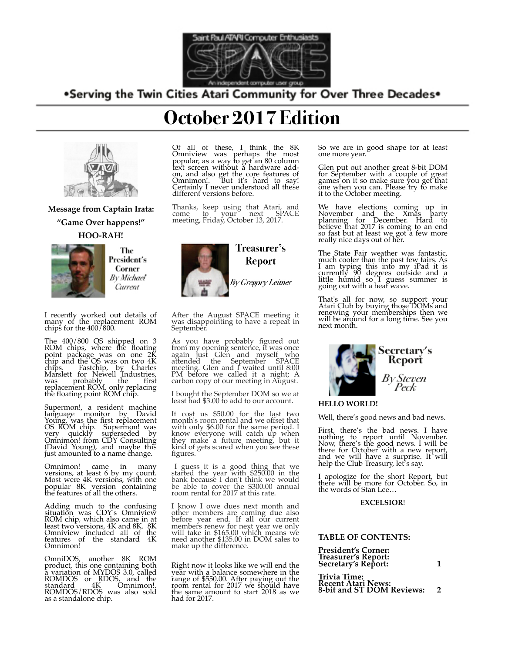

# .Serving the Twin Cities Atari Community for Over Three Decades.



# **Message from Captain Irata: "Game Over happens!" HOO-RAH!**



The President's Corner By Michael Current

I recently worked out details of many of the replacement ROM chips for the 400/800.

The 400/800 OS shipped on 3 ROM chips, where the floating point package was on one 2K chip and the OS was on two 4K chips. Fastchip, by Charles<br>Marslett for Newell Industries, was probably the first replacement ROM, only replacing the floating point ROM chip.

Supermon!, a resident machine language monitor by David Young, was the first replacement OS ROM chip. Supermon! was very quickly superseded by Omnimon! from CDY Consulting (David Young), and maybe this just amounted to a name change.

Omnimon! came in many versions, at least 6 by my count. Most were 4K versions, with one popular 8K version containing the features of all the others.

Adding much to the confusing situation was CDY's Omniview ROM chip, which also came in at least two versions, 4K and 8K. 8K Omniview included all of the features of the standard 4K Omnimon!

OmniDOS, another 8K ROM product, this one containing both a variation of MYDOS 3.0, called ROMDOS or RDOS, and the standard 4K Omnimon!. ROMDOS/RDOS was also sold as a standalone chip.

# **October 2017 Edition**

Of all of these, I think the 8K Omniview was perhaps the most popular, as a way to get an 80 column text screen without a hardware addon, and also get the core features of Omnimon!. But it's hard to say! Certainly I never understood all these different versions before.

Thanks, keep using that Atari, and come to your next SPACE meeting, Friday, October 13, 2017.



After the August SPACE meeting it was disappointing to have a repeat in September.

As you have probably figured out from my opening sentence, it was once again just Glen and myself who attended the September SPACE meeting. Glen and I waited until 8:00 PM before we called it a night; A carbon copy of our meeting in August.

I bought the September DOM so we at least had \$3.00 to add to our account.

It cost us \$50.00 for the last two month's room rental and we offset that with only \$6.00 for the same period. I know everyone will catch up when they make a future meeting, but it kind of gets scared when you see these figures.

 I guess it is a good thing that we started the year with \$250.00 in the bank because I don't think we would be able to cover the \$300.00 annual room rental for 2017 at this rate.

I know I owe dues next month and other members are coming due also before year end. If all our current members renew for next year we only will take in \$165.00 which means we need another \$135.00 in DOM sales to make up the difference.

Right now it looks like we will end the year with a balance somewhere in the range of \$550.00. After paying out the room rental for 2017 we should have the same amount to start 2018 as we had for 2017.

So we are in good shape for at least one more year.

Glen put out another great 8-bit DOM for September with a couple of great games on it so make sure you get that one when you can. Please try to make it to the October meeting.

We have elections coming up in November and the Xmas party planning for December. Hard to believe that 2017 is coming to an end so fast but at least we got a few more really nice days out of her.

The State Fair weather was fantastic, much cooler than the past few fairs. As I am typing this into my iPad it is currently 90 degrees outside and a little humid so I guess summer is going out with a heat wave.

That's all for now, so support your Atari Club by buying those DOMs and renewing your memberships then we will be around for a long time. See you next month.



#### **HELLO WORLD!**

Well, there's good news and bad news.

First, there's the bad news. I have nothing to report until November. Now, there's the good news. I will be there for October with a new report, and we will have a surprise. It will help the Club Treasury, let's say.

I apologize for the short Report, but there will be more for October. So, in the words of Stan Lee…

#### **EXCELSIOR**!

#### **TABLE OF CONTENTS:**

| <b>President's Corner:</b>                 |  |
|--------------------------------------------|--|
|                                            |  |
| Treasurer's Report:<br>Secretary's Report: |  |

**Trivia Time: Recent Atari News: 8-bit and ST DOM Reviews: 2**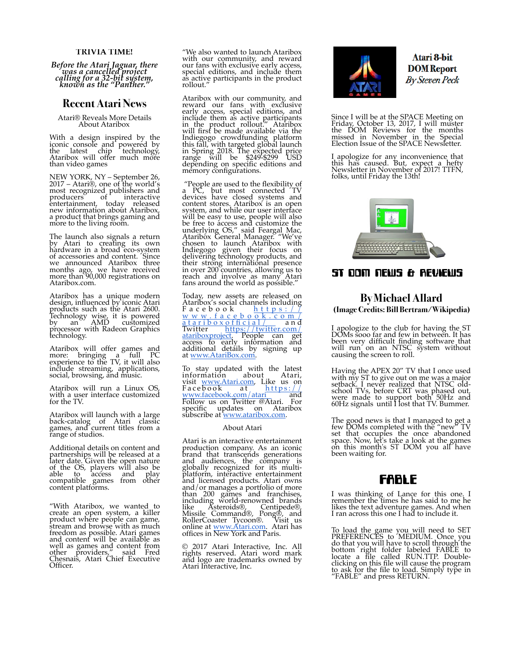#### **TRIVIA TIME!**

*Before the Atari Jaguar, there was a cancelled project calling for a 32-bit system, known as the "Panther."*

### **Recent Atari News**

Atari® Reveals More Details About Ataribox

With a design inspired by the iconic console and powered by the latest chip technology, Ataribox will offer much more than video games

NEW YORK, NY – September 26, 2017 – Atari®, one of the world's most recognized publishers and producers of interactive entertainment, today released new information about Ataribox, a product that brings gaming and more to the living room.

The launch also signals a return by Atari to creating its own hardware in a broad eco-system of accessories and content. Since we announced Ataribox three months ago, we have received more than 90,000 registrations on Ataribox.com.

Ataribox has a unique modern design, influenced by iconic Atari products such as the Atari 2600. Technology wise, it is powered by an AMD customized processor with Radeon Graphics technology.

Ataribox will offer games and more: bringing a full PC experience to the TV, it will also include streaming, applications, social, browsing, and music.

Ataribox will run a Linux OS, with a user interface customized for the TV.

Ataribox will launch with a large back-catalog of Atari classic games, and current titles from a range of studios.

Additional details on content and partnerships will be released at a later date. Given the open nature of the OS, players will also be able to access and play compatible games from other content platforms.

"With Ataribox, we wanted to create an open system, a killer product where people can game, stream and browse with as much freedom as possible. Atari games and content will be available as well as games and content from other providers," said Fred Chesnais, Atari Chief Executive Officer.

"We also wanted to launch Ataribox with our community, and reward<br>our fans with exclusive early access, special editions, and include them as active participants in the product rollout."

Ataribox with our community, and reward our fans with exclusive early access, special editions, and include them as active participants in the product rollout." Ataribox will first be made available via the Indiegogo crowdfunding platform this fall, with targeted global launch in Spring 2018. The expected price range will be \$249-\$299 USD depending on specific editions and memory configurations.

"People are used to the flexibility of a PC, but most connected TV devices have closed systems and content stores. Ataribox is an open system, and while our user interface will be easy to use, people will also be free to access and customize the underlying OS," said Feargal Mac, Ataribox General Manager. "We've chosen to launch Ataribox with Indiegogo given their focus on delivering technology products, and their strong international presence in over 200 countries, allowing us to reach and involve as many Atari fans around the world as possible.

Today, new assets are released on Ataribox's social channels including Facebook [https://](https://www.facebook.com/atariboxofficial/) [www.facebook.com/](https://www.facebook.com/atariboxofficial/) [atariboxofficial/](https://www.facebook.com/atariboxofficial/) a n d Twitter <u>[https://twitter.com/](https://twitter.com/atariboxproject)</u><br><u>atariboxproject</u>. [People](https://twitter.com/atariboxproject) [can](https://twitter.com/atariboxproject) get<br>access [to](https://twitter.com/atariboxproject) [earl](https://twitter.com/atariboxproject)y information and additional details by signing up at [www.AtariBox.com.](http://www.ataribox.com/)

To stay updated with the latest information about Atari, visit [www.Atari.com,](http://www.atari.com/) Like us on Facebook at [https://](https://www.facebook.com/atari) [www.facebook.com/atari and](https://www.facebook.com/atari)  Follow us on Twitter @Atari. For specific updates on Ataribox subscribe at <u>www.ataribox.com</u>.

#### About Atari

Atari is an interactive entertainment production company. As an iconic brand that transcends generations and audiences, the company is globally recognized for its multiplatform, interactive entertainment and licensed products. Atari owns and/or manages a portfolio of more than 200 games and franchises, including world-renowned brands like Asteroids®, Centipede®, Missile Command®, Pong®, and RollerCoaster Tycoon®. Visit us online at <u>www.Atari.com</u>. Atari has offices in New York and Paris.

© 2017 Atari Interactive, Inc. All rights reserved. Atari word mark and logo are trademarks owned by Atari Interactive, Inc.



Atari 8-bit **DOM** Report By Steven Peck

Since I will be at the SPACE Meeting on Friday, October 13, 2017, I will muster the DOM Reviews for the months missed in November in the Special Election Issue of the SPACE Newsletter.

I apologize for any inconvenience that this has caused. But, expect a hefty



#### ST DOM NEWS & REVIEWS

#### $\bf{By Michael Allard}$ ve Credite: Rill Rertram /Wikipedi (Image Credits: Bill Bertram/Wikipedia)

been very difficult finding software that will I apologize to the club for having the ST<br>DOMe sooo for and four in hotuson. It has been very difficult finding software that will run on an NTSC system with causing the screen to roll. DOMs sooo far and few in between. It has will run on an NTSC system without causing the screen to roll.

school TVs, before CRT was phased out, were Haying the APEX  $20^{\prime\prime}$  TV that I once t with my 51 to give out on the was a map school TVs, before CRT was phased of were made to support both 50Hz 60Hz signals until I lost that TV. Bumm Having the APEX 20" TV that I once used with my ST to give out on me was a major setback. I never realized that NTSC oldschool TVs, before CRT was phased out, were made to support both 50Hz and 60Hz signals until I lost that TV. Bummer.

 $\mathcal{G}_\mathcal{G}$  on this month is monthly defined by The good new es the<br>'s take a l vaiting for  $\sim$   $\sim$   $\sim$   $\sim$ The good news is that I managed to get a few DOMs completed with the "new" TV set that occupies the once abandoned space. Now, let's take a look at the games on this month's ST DOM you all have been waiting for.

# **FABLE**

thinking of Lance for this one remember the times he has said to me the the text duventure games. And will<br>I ran across this one I had to include it right folder labeled FABLE to locate a file I was thinking of Lance for this one. I remember the times he has said to me he likes the text adventure games. And when I ran across this one I had to include it.

To load the game you will need to 9 PREFERENCES to MEDIUM. Once do that you will have to scroll throu pottom To load the game you will need to SET PREFERENCES to MEDIUM. Once you do that you will have to scroll through the bottom right folder labeled FABLE to locate a file called RUN.TTP. Doubleclicking on this file will cause the program to ask for the file to load. Simply type in "FABLE" and press RETURN.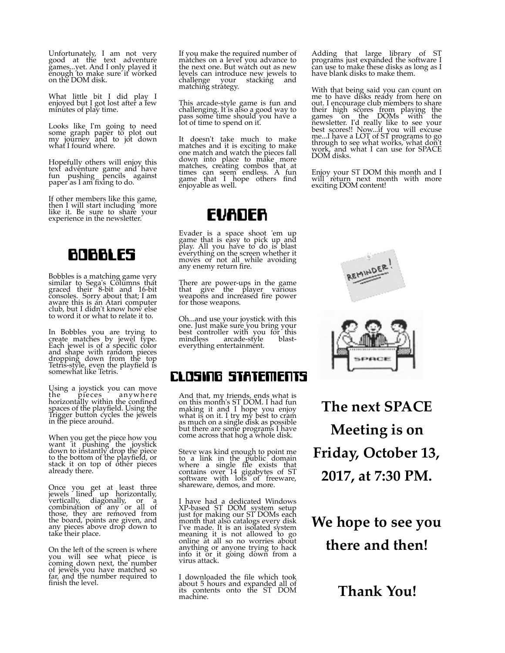Unfortunately, I am not very good at the text adventure games...yet. And I only played it enough to make sure it worked on the DOM disk.

What little bit I did play I enjoyed but I got lost after a few minutes of play time.

Looks like I'm going to need some graph paper to plot out my journey and to jot down what I found where.

Hopefully others will enjoy this text adventure game and have fun pushing pencils against paper as I am fixing to do.

If other members like this game, then I will start including "more<br>like it. Be sure to share your experience in the newsletter.

# BOBBLES

Bobbles is a matching game very similar to Sega's Columns that graced their 8-bit and 16-bit consoles. Sorry about that; I am aware this is an Atari computer club, but I didn't know how else to word it or what to relate it to.

In Bobbles you are trying to create matches by jewel type. Each jewel is of a specific color and shape with random pieces dropping down from the top Tetris-style, even the playfield is<br>somewhat like Tetris.

Using a joystick you can move the pieces anywhere horizontally within the confined spaces of the playfield. Using the Trigger button cycles the jewels in the piece around.

When you get the piece how you want it pushing the joystick down to instantly drop the piece to the bottom of the playfield, or stack it on top of other pieces already there.

Once you get at least three jewels lined up horizontally, vertically, diagonally, or a combination of any or all of those, they are removed from the board, points are given, and any pieces above drop down to take their place.

On the left of the screen is where you will see what piece is coming down next, the number of jewels you have matched so far, and the number required to finish the level.

If you make the required number of matches on a level you advance to the next one. But watch out as new levels can introduce new jewels to challenge your stacking and matching strategy.

This arcade-style game is fun and challenging. It is also a good way to pass some time should you have a lot of time to spend on it.

It doesn't take much to make matches and it is exciting to make one match and watch the pieces fall down into place to make more matches, creating combos that at times can seem endless. A fun game that I hope others find enjoyable as well.

# EVADER

Evader is a space shoot 'em up game that is easy to pick up and play. All you have to do is blast everything on the screen whether it moves or not all while avoiding any enemy return fire.

There are power-ups in the game that give the player various weapons and increased fire power for those weapons.

Oh...and use your joystick with this one. Just make sure you bring your best controller with you for this mindless arcade-style blasteverything entertainment.

# CLOSING STATEMENTS

And that, my friends, ends what is on this month's ST DOM. I had fun making it and I hope you enjoy what is on it. I try my best to cram as much on a single disk as possible but there are some programs I have come across that hog a whole disk.

Steve was kind enough to point me to a link in the public domain where a single file exists that contains over 14 gigabytes of ST software with lots of freeware, shareware, demos, and more.

I have had a dedicated Windows XP-based ST DOM system setup just for making our ST DOMs each month that also catalogs every disk I've made. It is an isolated system meaning it is not allowed to go online at all so no worries about anything or anyone trying to hack into it or it going down from a virus attack.

I downloaded the file which took about 5 hours and expanded all of its contents onto the ST DOM machine.

Adding that large library of ST programs just expanded the software I can use to make these disks as long as I have blank disks to make them.

With that being said you can count on me to have disks ready from here on out. I encourage club members to share their high scores from playing the games on the DOMs with the newsletter. I'd really like to see your best scores!! Now...if you will excuse me...I have a LOT of ST programs to go through to see what works, what don't work, and what I can use for SPACE DOM disks.

Enjoy your ST DOM this month and I will return next month with more exciting DOM content!





**The next SPACE Meeting is on Friday, October 13, 2017, at 7:30 PM.**

**We hope to see you there and then!**

**Thank You!**